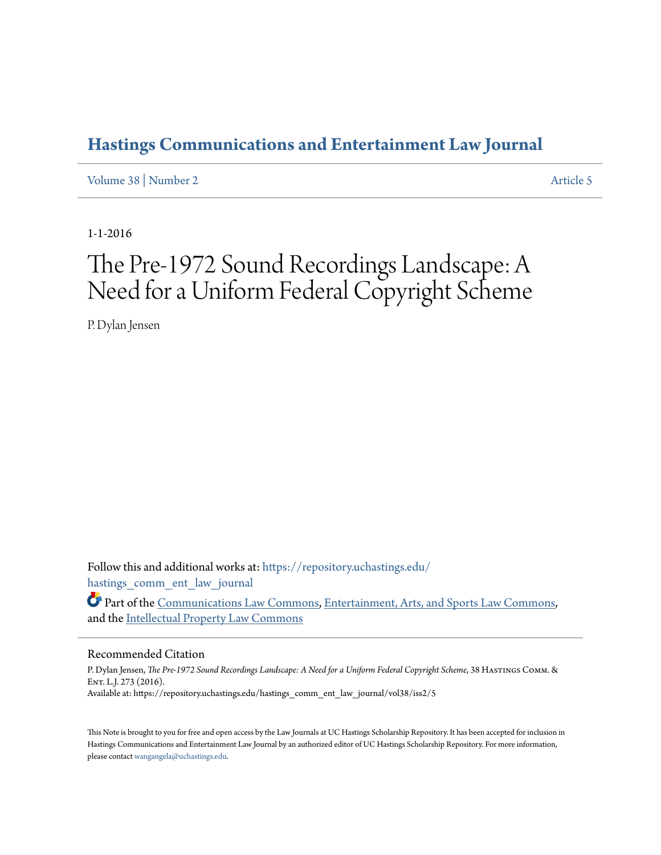# **[Hastings Communications and Entertainment Law Journal](https://repository.uchastings.edu/hastings_comm_ent_law_journal?utm_source=repository.uchastings.edu%2Fhastings_comm_ent_law_journal%2Fvol38%2Fiss2%2F5&utm_medium=PDF&utm_campaign=PDFCoverPages)**

[Volume 38](https://repository.uchastings.edu/hastings_comm_ent_law_journal/vol38?utm_source=repository.uchastings.edu%2Fhastings_comm_ent_law_journal%2Fvol38%2Fiss2%2F5&utm_medium=PDF&utm_campaign=PDFCoverPages) | [Number 2](https://repository.uchastings.edu/hastings_comm_ent_law_journal/vol38/iss2?utm_source=repository.uchastings.edu%2Fhastings_comm_ent_law_journal%2Fvol38%2Fiss2%2F5&utm_medium=PDF&utm_campaign=PDFCoverPages) [Article 5](https://repository.uchastings.edu/hastings_comm_ent_law_journal/vol38/iss2/5?utm_source=repository.uchastings.edu%2Fhastings_comm_ent_law_journal%2Fvol38%2Fiss2%2F5&utm_medium=PDF&utm_campaign=PDFCoverPages)

1-1-2016

# The Pre-1972 Sound Recordings Landscape: A Need for a Uniform Federal Copyright Scheme

P. Dylan Jensen

Follow this and additional works at: [https://repository.uchastings.edu/](https://repository.uchastings.edu/hastings_comm_ent_law_journal?utm_source=repository.uchastings.edu%2Fhastings_comm_ent_law_journal%2Fvol38%2Fiss2%2F5&utm_medium=PDF&utm_campaign=PDFCoverPages) [hastings\\_comm\\_ent\\_law\\_journal](https://repository.uchastings.edu/hastings_comm_ent_law_journal?utm_source=repository.uchastings.edu%2Fhastings_comm_ent_law_journal%2Fvol38%2Fiss2%2F5&utm_medium=PDF&utm_campaign=PDFCoverPages)

Part of the [Communications Law Commons,](http://network.bepress.com/hgg/discipline/587?utm_source=repository.uchastings.edu%2Fhastings_comm_ent_law_journal%2Fvol38%2Fiss2%2F5&utm_medium=PDF&utm_campaign=PDFCoverPages) [Entertainment, Arts, and Sports Law Commons,](http://network.bepress.com/hgg/discipline/893?utm_source=repository.uchastings.edu%2Fhastings_comm_ent_law_journal%2Fvol38%2Fiss2%2F5&utm_medium=PDF&utm_campaign=PDFCoverPages) and the [Intellectual Property Law Commons](http://network.bepress.com/hgg/discipline/896?utm_source=repository.uchastings.edu%2Fhastings_comm_ent_law_journal%2Fvol38%2Fiss2%2F5&utm_medium=PDF&utm_campaign=PDFCoverPages)

### Recommended Citation

P. Dylan Jensen, *The Pre-1972 Sound Recordings Landscape: A Need for a Uniform Federal Copyright Scheme*, 38 Hastings Comm. & ENT. L.J. 273 (2016). Available at: https://repository.uchastings.edu/hastings\_comm\_ent\_law\_journal/vol38/iss2/5

This Note is brought to you for free and open access by the Law Journals at UC Hastings Scholarship Repository. It has been accepted for inclusion in Hastings Communications and Entertainment Law Journal by an authorized editor of UC Hastings Scholarship Repository. For more information, please contact [wangangela@uchastings.edu.](mailto:wangangela@uchastings.edu)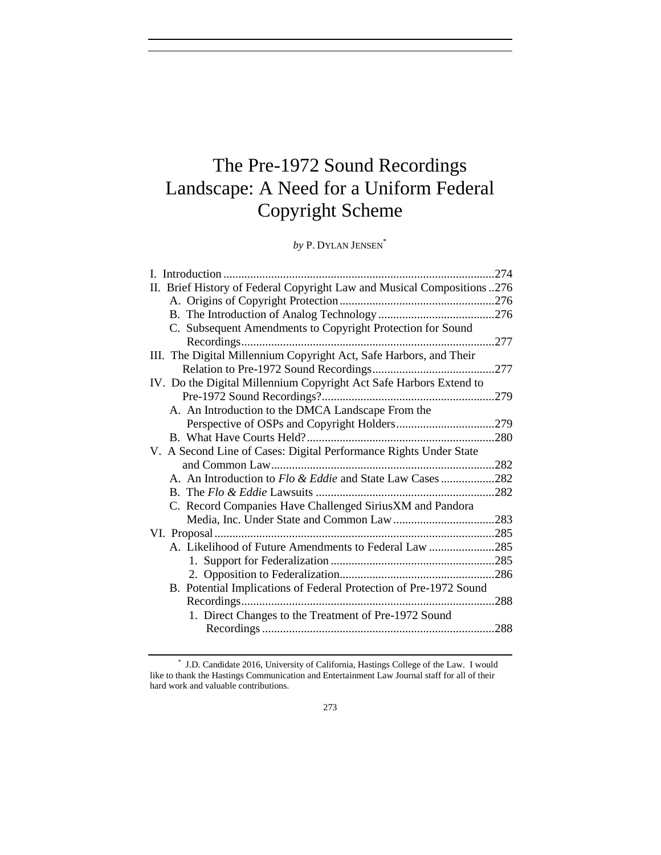# The Pre-1972 Sound Recordings Landscape: A Need for a Uniform Federal Copyright Scheme

*by* P. DYLAN JENSEN\*

|                                                                         | .274        |
|-------------------------------------------------------------------------|-------------|
| II. Brief History of Federal Copyright Law and Musical Compositions 276 |             |
|                                                                         |             |
|                                                                         |             |
| C. Subsequent Amendments to Copyright Protection for Sound              |             |
|                                                                         | $\dots 277$ |
| III. The Digital Millennium Copyright Act, Safe Harbors, and Their      |             |
|                                                                         |             |
| IV. Do the Digital Millennium Copyright Act Safe Harbors Extend to      |             |
|                                                                         |             |
| A. An Introduction to the DMCA Landscape From the                       |             |
|                                                                         |             |
|                                                                         | .280        |
| V. A Second Line of Cases: Digital Performance Rights Under State       |             |
|                                                                         |             |
| A. An Introduction to Flo & Eddie and State Law Cases 282               |             |
|                                                                         |             |
| C. Record Companies Have Challenged SiriusXM and Pandora                |             |
|                                                                         |             |
|                                                                         |             |
| A. Likelihood of Future Amendments to Federal Law 285                   |             |
|                                                                         |             |
|                                                                         |             |
| B. Potential Implications of Federal Protection of Pre-1972 Sound       |             |
|                                                                         | .288        |
| 1. Direct Changes to the Treatment of Pre-1972 Sound                    |             |
|                                                                         | .288        |

<sup>\*</sup> J.D. Candidate 2016, University of California, Hastings College of the Law. I would like to thank the Hastings Communication and Entertainment Law Journal staff for all of their hard work and valuable contributions.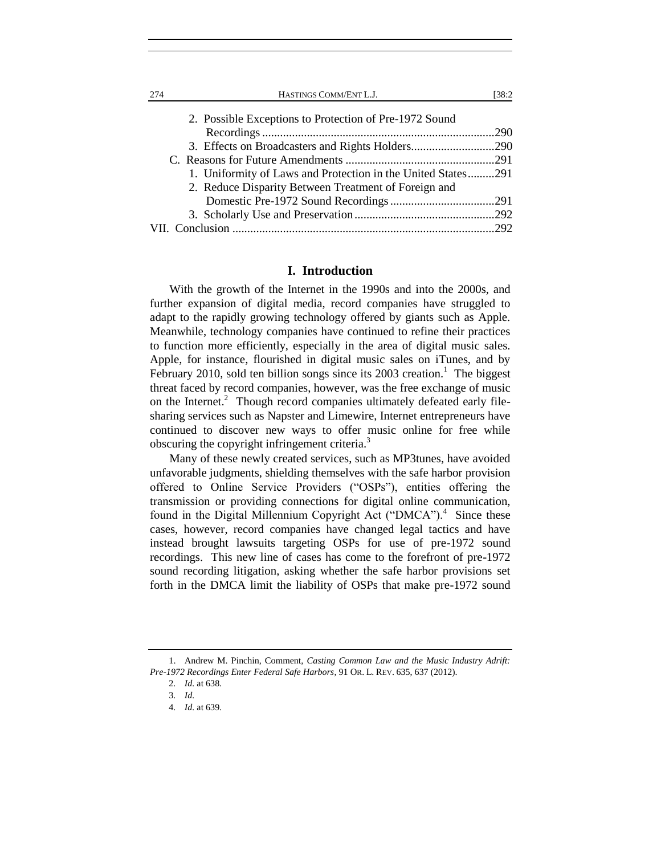| 2. Possible Exceptions to Protection of Pre-1972 Sound       |  |
|--------------------------------------------------------------|--|
|                                                              |  |
|                                                              |  |
|                                                              |  |
| 1. Uniformity of Laws and Protection in the United States291 |  |
| 2. Reduce Disparity Between Treatment of Foreign and         |  |
|                                                              |  |
|                                                              |  |
|                                                              |  |
|                                                              |  |

#### **I. Introduction**

With the growth of the Internet in the 1990s and into the 2000s, and further expansion of digital media, record companies have struggled to adapt to the rapidly growing technology offered by giants such as Apple. Meanwhile, technology companies have continued to refine their practices to function more efficiently, especially in the area of digital music sales. Apple, for instance, flourished in digital music sales on iTunes, and by February 2010, sold ten billion songs since its  $2003$  creation.<sup>1</sup> The biggest threat faced by record companies, however, was the free exchange of music on the Internet.<sup>2</sup> Though record companies ultimately defeated early filesharing services such as Napster and Limewire, Internet entrepreneurs have continued to discover new ways to offer music online for free while obscuring the copyright infringement criteria.<sup>3</sup>

Many of these newly created services, such as MP3tunes, have avoided unfavorable judgments, shielding themselves with the safe harbor provision offered to Online Service Providers ("OSPs"), entities offering the transmission or providing connections for digital online communication, found in the Digital Millennium Copyright Act ("DMCA").<sup>4</sup> Since these cases, however, record companies have changed legal tactics and have instead brought lawsuits targeting OSPs for use of pre-1972 sound recordings. This new line of cases has come to the forefront of pre-1972 sound recording litigation, asking whether the safe harbor provisions set forth in the DMCA limit the liability of OSPs that make pre-1972 sound

<sup>1.</sup> Andrew M. Pinchin, Comment, *Casting Common Law and the Music Industry Adrift: Pre-1972 Recordings Enter Federal Safe Harbors*, 91 OR. L. REV. 635, 637 (2012).

<sup>2</sup>*. Id.* at 638.

<sup>3</sup>*. Id.*

<sup>4</sup>*. Id.* at 639.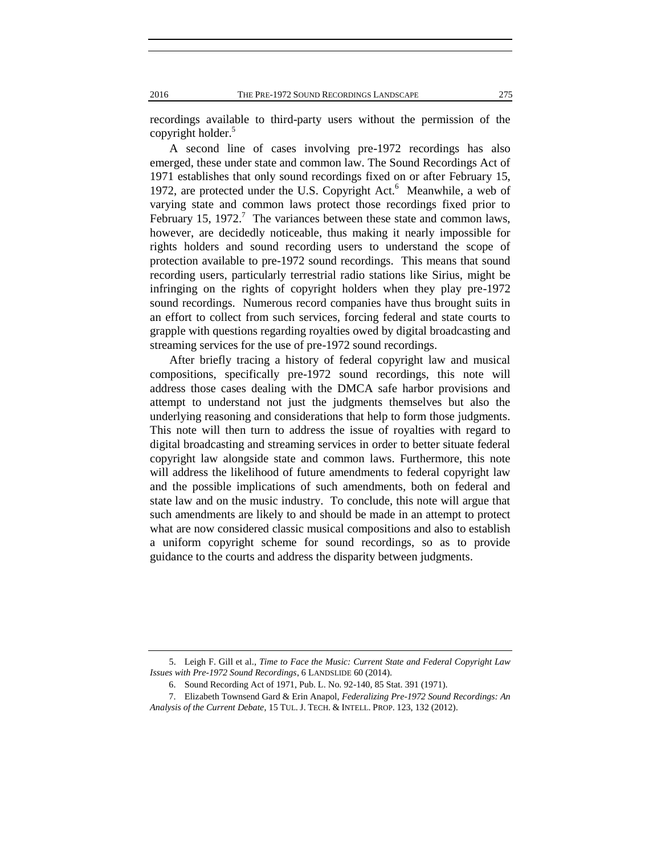recordings available to third-party users without the permission of the copyright holder.<sup>5</sup>

A second line of cases involving pre-1972 recordings has also emerged, these under state and common law. The Sound Recordings Act of 1971 establishes that only sound recordings fixed on or after February 15, 1972, are protected under the U.S. Copyright Act.<sup>6</sup> Meanwhile, a web of varying state and common laws protect those recordings fixed prior to February 15, 1972.<sup>7</sup> The variances between these state and common laws, however, are decidedly noticeable, thus making it nearly impossible for rights holders and sound recording users to understand the scope of protection available to pre-1972 sound recordings. This means that sound recording users, particularly terrestrial radio stations like Sirius, might be infringing on the rights of copyright holders when they play pre-1972 sound recordings. Numerous record companies have thus brought suits in an effort to collect from such services, forcing federal and state courts to grapple with questions regarding royalties owed by digital broadcasting and streaming services for the use of pre-1972 sound recordings.

After briefly tracing a history of federal copyright law and musical compositions, specifically pre-1972 sound recordings, this note will address those cases dealing with the DMCA safe harbor provisions and attempt to understand not just the judgments themselves but also the underlying reasoning and considerations that help to form those judgments. This note will then turn to address the issue of royalties with regard to digital broadcasting and streaming services in order to better situate federal copyright law alongside state and common laws. Furthermore, this note will address the likelihood of future amendments to federal copyright law and the possible implications of such amendments, both on federal and state law and on the music industry. To conclude, this note will argue that such amendments are likely to and should be made in an attempt to protect what are now considered classic musical compositions and also to establish a uniform copyright scheme for sound recordings, so as to provide guidance to the courts and address the disparity between judgments.

<sup>5.</sup> Leigh F. Gill et al., *Time to Face the Music: Current State and Federal Copyright Law Issues with Pre-1972 Sound Recordings*, 6 LANDSLIDE 60 (2014).

<sup>6.</sup> Sound Recording Act of 1971, Pub. L. No. 92-140, 85 Stat. 391 (1971).

<sup>7.</sup> Elizabeth Townsend Gard & Erin Anapol, *Federalizing Pre-1972 Sound Recordings: An Analysis of the Current Debate*, 15 TUL. J. TECH. & INTELL. PROP. 123, 132 (2012).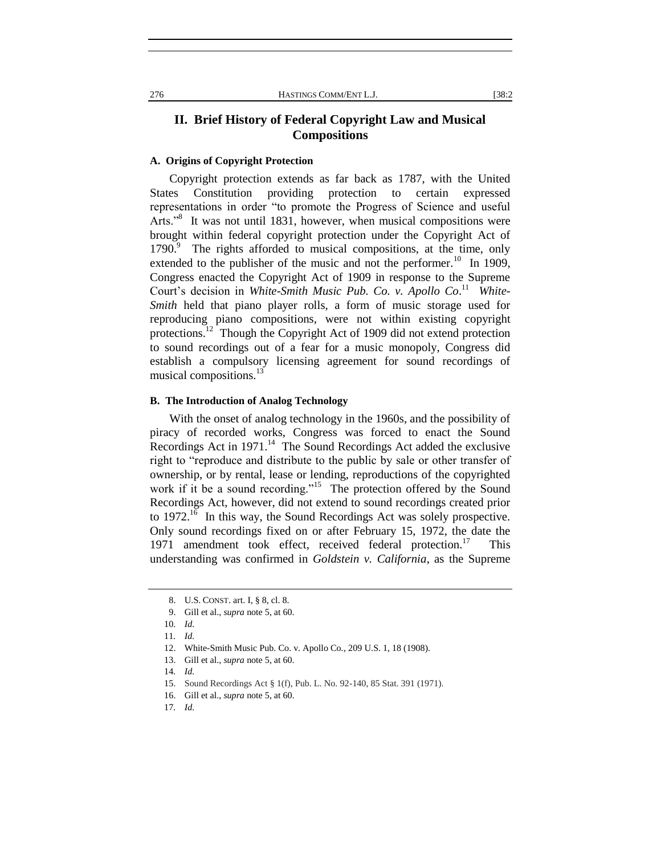# **II. Brief History of Federal Copyright Law and Musical Compositions**

#### **A. Origins of Copyright Protection**

Copyright protection extends as far back as 1787, with the United States Constitution providing protection to certain expressed representations in order "to promote the Progress of Science and useful Arts."<sup>8</sup> It was not until 1831, however, when musical compositions were brought within federal copyright protection under the Copyright Act of 1790.<sup>9</sup> The rights afforded to musical compositions, at the time, only extended to the publisher of the music and not the performer.<sup>10</sup> In 1909, Congress enacted the Copyright Act of 1909 in response to the Supreme Court's decision in *White-Smith Music Pub. Co. v. Apollo Co.*<sup>11</sup> White-*Smith* held that piano player rolls, a form of music storage used for reproducing piano compositions, were not within existing copyright protections.<sup>12</sup> Though the Copyright Act of 1909 did not extend protection to sound recordings out of a fear for a music monopoly, Congress did establish a compulsory licensing agreement for sound recordings of musical compositions.<sup>13</sup>

#### **B. The Introduction of Analog Technology**

With the onset of analog technology in the 1960s, and the possibility of piracy of recorded works, Congress was forced to enact the Sound Recordings Act in  $1971$ .<sup>14</sup> The Sound Recordings Act added the exclusive right to "reproduce and distribute to the public by sale or other transfer of ownership, or by rental, lease or lending, reproductions of the copyrighted work if it be a sound recording."<sup>15</sup> The protection offered by the Sound Recordings Act, however, did not extend to sound recordings created prior to  $1972$ <sup>16</sup> In this way, the Sound Recordings Act was solely prospective. Only sound recordings fixed on or after February 15, 1972, the date the 1971 amendment took effect, received federal protection.<sup>17</sup> This understanding was confirmed in *Goldstein v. California*, as the Supreme

<sup>8.</sup> U.S. CONST. art. I, § 8, cl. 8.

<sup>9.</sup> Gill et al., *supra* note 5, at 60.

<sup>10</sup>*. Id.*

<sup>11</sup>*. Id.*

<sup>12.</sup> White-Smith Music Pub. Co. v. Apollo Co*.*, 209 U.S. 1, 18 (1908).

<sup>13.</sup> Gill et al., *supra* note 5, at 60.

<sup>14</sup>*. Id.*

<sup>15.</sup> Sound Recordings Act § 1(f), Pub. L. No. 92-140, 85 Stat. 391 (1971).

<sup>16.</sup> Gill et al., *supra* note 5, at 60.

<sup>17</sup>*. Id.*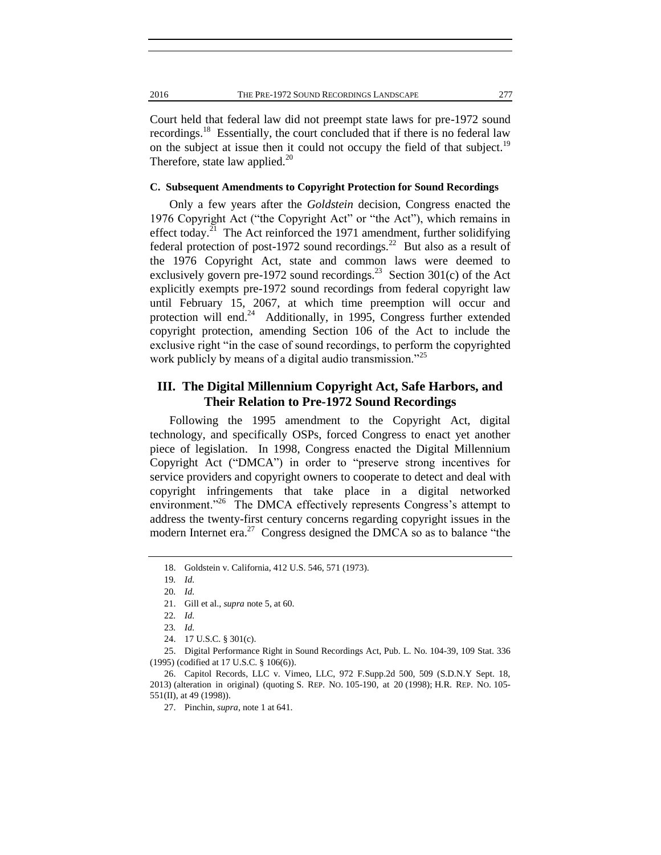Court held that federal law did not preempt state laws for pre-1972 sound recordings.<sup>18</sup> Essentially, the court concluded that if there is no federal law on the subject at issue then it could not occupy the field of that subject.<sup>19</sup> Therefore, state law applied. $^{20}$ 

### **C. Subsequent Amendments to Copyright Protection for Sound Recordings**

Only a few years after the *Goldstein* decision, Congress enacted the 1976 Copyright Act ("the Copyright Act" or "the Act"), which remains in effect today.<sup>21</sup> The Act reinforced the 1971 amendment, further solidifying federal protection of post-1972 sound recordings.<sup>22</sup> But also as a result of the 1976 Copyright Act, state and common laws were deemed to exclusively govern pre-1972 sound recordings.<sup>23</sup> Section 301(c) of the Act explicitly exempts pre-1972 sound recordings from federal copyright law until February 15, 2067, at which time preemption will occur and protection will end.<sup>24</sup> Additionally, in 1995, Congress further extended copyright protection, amending Section 106 of the Act to include the exclusive right "in the case of sound recordings, to perform the copyrighted work publicly by means of a digital audio transmission."<sup>25</sup>

# **III. The Digital Millennium Copyright Act, Safe Harbors, and Their Relation to Pre-1972 Sound Recordings**

Following the 1995 amendment to the Copyright Act, digital technology, and specifically OSPs, forced Congress to enact yet another piece of legislation. In 1998, Congress enacted the Digital Millennium Copyright Act ("DMCA") in order to "preserve strong incentives for service providers and copyright owners to cooperate to detect and deal with copyright infringements that take place in a digital networked environment."<sup>26</sup> The DMCA effectively represents Congress's attempt to address the twenty-first century concerns regarding copyright issues in the modern Internet era.<sup>27</sup> Congress designed the DMCA so as to balance "the

<sup>18.</sup> Goldstein v. California, 412 U.S. 546, 571 (1973).

<sup>19</sup>*. Id.*

<sup>20</sup>*. Id.*

<sup>21.</sup> Gill et al., *supra* note 5, at 60.

<sup>22</sup>*. Id.*

<sup>23</sup>*. Id.*

<sup>24. 17</sup> U.S.C. § 301(c).

<sup>25.</sup> Digital Performance Right in Sound Recordings Act, Pub. L. No. 104-39, 109 Stat. 336 (1995) (codified at [17 U.S.C. § 106\(6\)\)](https://a.next.westlaw.com/Link/Document/FullText?findType=L&pubNum=1000546&cite=17USCAS106&originatingDoc=I81d37d9d195611e498db8b09b4f043e0&refType=RB&originationContext=document&transitionType=DocumentItem&contextData=(sc.History*oc.Search)#co_pp_1e9a0000fd6a3).

<sup>26.</sup> Capitol Records, LLC v. Vimeo, LLC, 972 F.Supp.2d 500, 509 (S.D.N.Y Sept. 18, 2013) (alteration in original) (quoting S. REP. NO. 105-190, at 20 (1998); H.R. REP. NO. 105- 551(II), at 49 (1998)).

<sup>27.</sup> Pinchin, *supra*, note 1 at 641.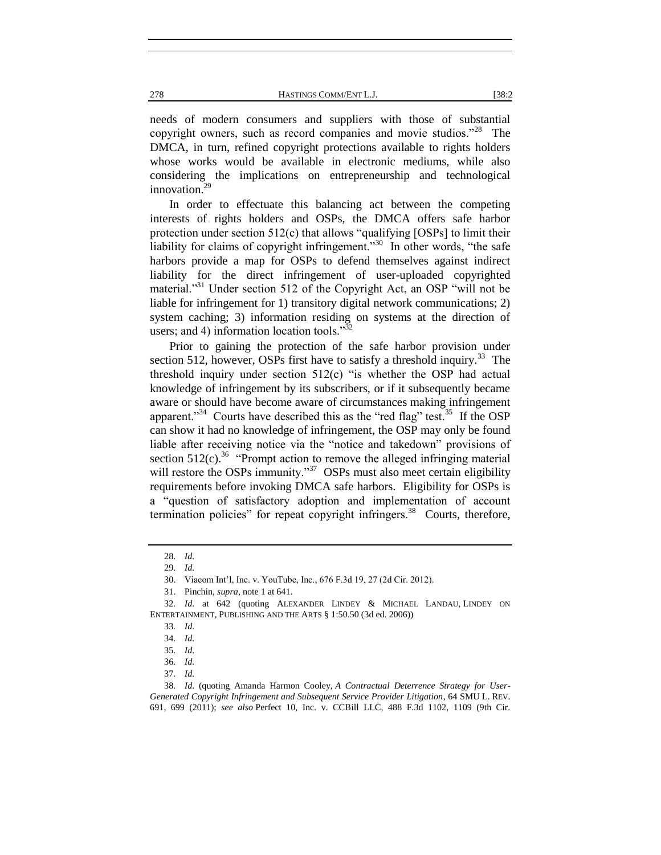needs of modern consumers and suppliers with those of substantial copyright owners, such as record companies and movie studios."<sup>28</sup> The DMCA, in turn, refined copyright protections available to rights holders whose works would be available in electronic mediums, while also considering the implications on entrepreneurship and technological innovation. $<sup>2</sup>$ </sup>

In order to effectuate this balancing act between the competing interests of rights holders and OSPs, the DMCA offers safe harbor protection under section  $512(c)$  that allows "qualifying [OSPs] to limit their liability for claims of copyright infringement."<sup>30</sup> In other words, "the safe harbors provide a map for OSPs to defend themselves against indirect liability for the direct infringement of user-uploaded copyrighted material."<sup>31</sup> Under section 512 of the Copyright Act, an OSP "will not be liable for infringement for 1) transitory digital network communications; 2) system caching; 3) information residing on systems at the direction of users; and 4) information location tools."<sup>32</sup>

Prior to gaining the protection of the safe harbor provision under section 512, however, OSPs first have to satisfy a threshold inquiry.<sup>33</sup> The threshold inquiry under section 512(c) "is whether the OSP had actual knowledge of infringement by its subscribers, or if it subsequently became aware or should have become aware of circumstances making infringement apparent."<sup>34</sup> Courts have described this as the "red flag" test.<sup>35</sup> If the OSP can show it had no knowledge of infringement, the OSP may only be found liable after receiving notice via the "notice and takedown" provisions of section  $512(c)$ <sup>36</sup> "Prompt action to remove the alleged infringing material will restore the OSPs immunity."<sup>37</sup> OSPs must also meet certain eligibility requirements before invoking DMCA safe harbors. Eligibility for OSPs is a "question of satisfactory adoption and implementation of account termination policies" for repeat copyright infringers. $38$  Courts, therefore,

<sup>28</sup>*. Id.*

<sup>29</sup>*. Id.*

<sup>30.</sup> Viacom Int'l, Inc. v. YouTube, Inc., 676 F.3d 19, 27 (2d Cir. 2012).

<sup>31.</sup> Pinchin, *supra*, note 1 at 641.

<sup>32</sup>*. Id.* at 642 (quoting ALEXANDER LINDEY & MICHAEL LANDAU, LINDEY ON ENTERTAINMENT, PUBLISHING AND THE ARTS § 1:50.50 (3d ed. 2006))

<sup>33</sup>*. Id.*

<sup>34</sup>*. Id.*

<sup>35</sup>*. Id.*

<sup>36</sup>*. Id.*

<sup>37</sup>*. Id.*

<sup>38</sup>*. Id.* (quoting Amanda Harmon Cooley, *A Contractual Deterrence Strategy for User-Generated Copyright Infringement and Subsequent Service Provider Litigation*, 64 SMU L. REV. 691, 699 (2011); *see also* Perfect 10, Inc. v. CCBill LLC, 488 F.3d 1102, 1109 (9th Cir.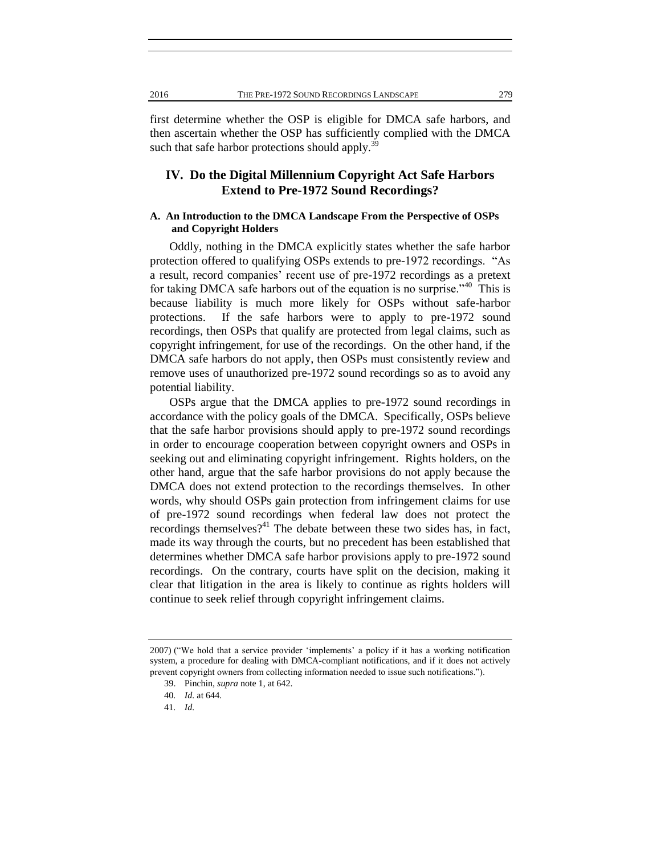first determine whether the OSP is eligible for DMCA safe harbors, and then ascertain whether the OSP has sufficiently complied with the DMCA such that safe harbor protections should apply. $3$ 

# **IV. Do the Digital Millennium Copyright Act Safe Harbors Extend to Pre-1972 Sound Recordings?**

#### **A. An Introduction to the DMCA Landscape From the Perspective of OSPs and Copyright Holders**

Oddly, nothing in the DMCA explicitly states whether the safe harbor protection offered to qualifying OSPs extends to pre-1972 recordings. "As a result, record companies' recent use of pre-1972 recordings as a pretext for taking DMCA safe harbors out of the equation is no surprise."<sup>40</sup> This is because liability is much more likely for OSPs without safe-harbor protections. If the safe harbors were to apply to pre-1972 sound recordings, then OSPs that qualify are protected from legal claims, such as copyright infringement, for use of the recordings. On the other hand, if the DMCA safe harbors do not apply, then OSPs must consistently review and remove uses of unauthorized pre-1972 sound recordings so as to avoid any potential liability.

OSPs argue that the DMCA applies to pre-1972 sound recordings in accordance with the policy goals of the DMCA. Specifically, OSPs believe that the safe harbor provisions should apply to pre-1972 sound recordings in order to encourage cooperation between copyright owners and OSPs in seeking out and eliminating copyright infringement. Rights holders, on the other hand, argue that the safe harbor provisions do not apply because the DMCA does not extend protection to the recordings themselves. In other words, why should OSPs gain protection from infringement claims for use of pre-1972 sound recordings when federal law does not protect the recordings themselves?<sup>41</sup> The debate between these two sides has, in fact, made its way through the courts, but no precedent has been established that determines whether DMCA safe harbor provisions apply to pre-1972 sound recordings. On the contrary, courts have split on the decision, making it clear that litigation in the area is likely to continue as rights holders will continue to seek relief through copyright infringement claims.

<sup>2007) (&</sup>quot;We hold that a service provider 'implements' a policy if it has a working notification system, a procedure for dealing with DMCA-compliant notifications, and if it does not actively prevent copyright owners from collecting information needed to issue such notifications.").

<sup>39.</sup> Pinchin, *supra* note 1, at 642.

<sup>40</sup>*. Id.* at 644.

<sup>41</sup>*. Id.*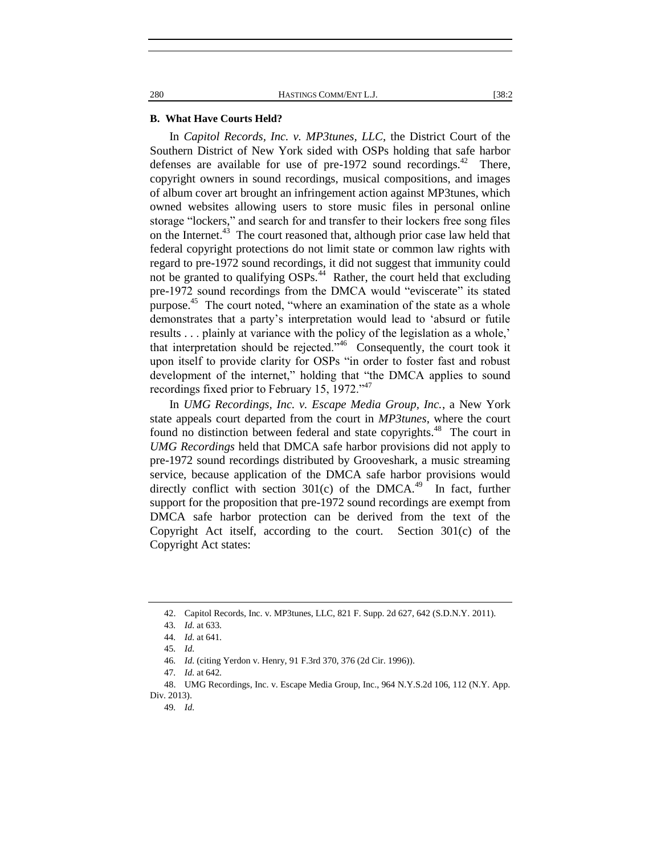#### **B. What Have Courts Held?**

In *Capitol Records, Inc. v. MP3tunes, LLC*, the District Court of the Southern District of New York sided with OSPs holding that safe harbor defenses are available for use of pre-1972 sound recordings.<sup>42</sup> There, copyright owners in sound recordings, musical compositions, and images of album cover art brought an infringement action against MP3tunes, which owned websites allowing users to store music files in personal online storage "lockers," and search for and transfer to their lockers free song files on the Internet.<sup>43</sup> The court reasoned that, although prior case law held that federal copyright protections do not limit state or common law rights with regard to pre-1972 sound recordings, it did not suggest that immunity could not be granted to qualifying OSPs.<sup>44</sup> Rather, the court held that excluding pre-1972 sound recordings from the DMCA would "eviscerate" its stated purpose.<sup>45</sup> The court noted, "where an examination of the state as a whole demonstrates that a party's interpretation would lead to 'absurd or futile results . . . plainly at variance with the policy of the legislation as a whole,' that interpretation should be rejected.<sup> $546$ </sup> Consequently, the court took it upon itself to provide clarity for OSPs "in order to foster fast and robust development of the internet," holding that "the DMCA applies to sound recordings fixed prior to February 15, 1972."<sup>47</sup>

In *UMG Recordings, Inc. v. Escape Media Group, Inc.*, a New York state appeals court departed from the court in *MP3tunes*, where the court found no distinction between federal and state copyrights.<sup>48</sup> The court in *UMG Recordings* held that DMCA safe harbor provisions did not apply to pre-1972 sound recordings distributed by Grooveshark, a music streaming service, because application of the DMCA safe harbor provisions would directly conflict with section  $301(c)$  of the DMCA.<sup>49</sup> In fact, further support for the proposition that pre-1972 sound recordings are exempt from DMCA safe harbor protection can be derived from the text of the Copyright Act itself, according to the court. Section 301(c) of the Copyright Act states:

<sup>42.</sup> Capitol Records, Inc. v. MP3tunes, LLC, 821 F. Supp. 2d 627, 642 (S.D.N.Y. 2011).

<sup>43</sup>*. Id.* at 633.

<sup>44</sup>*. Id.* at 641.

<sup>45</sup>*. Id.*

<sup>46</sup>*. Id.* (citing Yerdon v. Henry, 91 F.3rd 370, 376 (2d Cir. 1996)).

<sup>47</sup>*. Id.* at 642.

<sup>48.</sup> UMG Recordings, Inc. v. Escape Media Group, Inc., 964 N.Y.S.2d 106, 112 (N.Y. App. Div. 2013).

<sup>49</sup>*. Id.*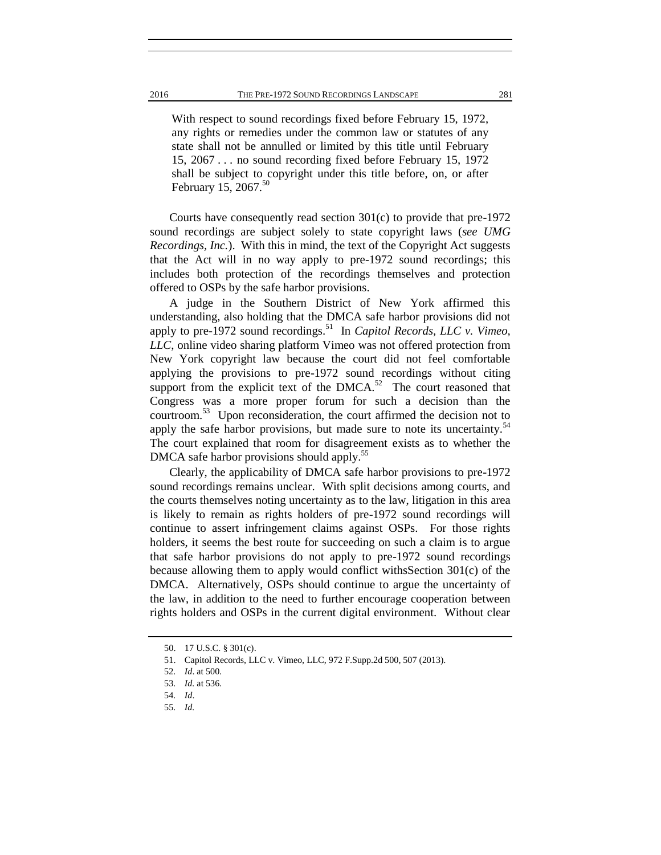With respect to sound recordings fixed before February 15, 1972, any rights or remedies under the common law or statutes of any state shall not be annulled or limited by this title until February 15, 2067 . . . no sound recording fixed before February 15, 1972 shall be subject to copyright under this title before, on, or after February 15, 2067. $50$ 

Courts have consequently read section 301(c) to provide that pre-1972 sound recordings are subject solely to state copyright laws (*see UMG Recordings, Inc.*). With this in mind, the text of the Copyright Act suggests that the Act will in no way apply to pre-1972 sound recordings; this includes both protection of the recordings themselves and protection offered to OSPs by the safe harbor provisions.

A judge in the Southern District of New York affirmed this understanding, also holding that the DMCA safe harbor provisions did not apply to pre-1972 sound recordings.<sup>51</sup> In *Capitol Records, LLC v. Vimeo, LLC*, online video sharing platform Vimeo was not offered protection from New York copyright law because the court did not feel comfortable applying the provisions to pre-1972 sound recordings without citing support from the explicit text of the  $DMCA$ <sup>52</sup>. The court reasoned that Congress was a more proper forum for such a decision than the courtroom.<sup>53</sup> Upon reconsideration, the court affirmed the decision not to apply the safe harbor provisions, but made sure to note its uncertainty.<sup>54</sup> The court explained that room for disagreement exists as to whether the DMCA safe harbor provisions should apply.<sup>55</sup>

Clearly, the applicability of DMCA safe harbor provisions to pre-1972 sound recordings remains unclear. With split decisions among courts, and the courts themselves noting uncertainty as to the law, litigation in this area is likely to remain as rights holders of pre-1972 sound recordings will continue to assert infringement claims against OSPs. For those rights holders, it seems the best route for succeeding on such a claim is to argue that safe harbor provisions do not apply to pre-1972 sound recordings because allowing them to apply would conflict withsSection 301(c) of the DMCA. Alternatively, OSPs should continue to argue the uncertainty of the law, in addition to the need to further encourage cooperation between rights holders and OSPs in the current digital environment. Without clear

<sup>50.</sup> [17 U.S.C. § 301\(c\).](https://a.next.westlaw.com/Link/Document/FullText?findType=L&pubNum=1000546&cite=17USCAS301&originatingDoc=I81d37d9d195611e498db8b09b4f043e0&refType=RB&originationContext=document&transitionType=DocumentItem&contextData=(sc.History*oc.Search)#co_pp_4b24000003ba5)

<sup>51.</sup> Capitol Records, LLC v. Vimeo, LLC, 972 F.Supp.2d 500, 507 (2013).

<sup>52</sup>*. Id*. at 500.

<sup>53</sup>*. Id.* at 536.

<sup>54</sup>*. Id*.

<sup>55</sup>*. Id.*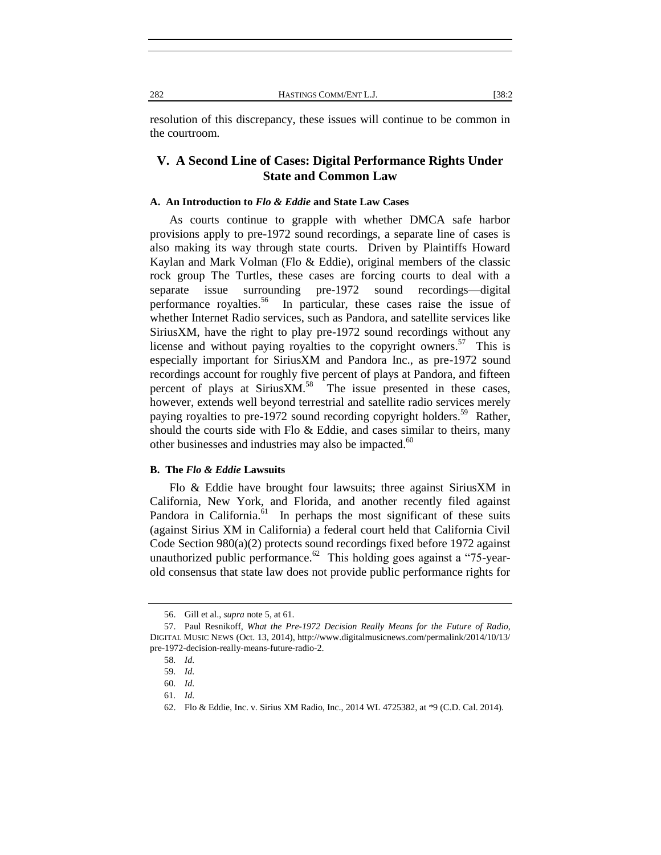resolution of this discrepancy, these issues will continue to be common in the courtroom.

# **V. A Second Line of Cases: Digital Performance Rights Under State and Common Law**

#### **A. An Introduction to** *Flo & Eddie* **and State Law Cases**

As courts continue to grapple with whether DMCA safe harbor provisions apply to pre-1972 sound recordings, a separate line of cases is also making its way through state courts. Driven by Plaintiffs Howard Kaylan and Mark Volman (Flo & Eddie), original members of the classic rock group The Turtles, these cases are forcing courts to deal with a separate issue surrounding pre-1972 sound recordings—digital performance royalties.<sup>56</sup> In particular, these cases raise the issue of whether Internet Radio services, such as Pandora, and satellite services like SiriusXM, have the right to play pre-1972 sound recordings without any license and without paying royalties to the copyright owners.<sup>57</sup> This is especially important for SiriusXM and Pandora Inc., as pre-1972 sound recordings account for roughly five percent of plays at Pandora, and fifteen percent of plays at Sirius $XM$ .<sup>58</sup> The issue presented in these cases, however, extends well beyond terrestrial and satellite radio services merely paying royalties to pre-1972 sound recording copyright holders.<sup>59</sup> Rather, should the courts side with Flo  $&$  Eddie, and cases similar to theirs, many other businesses and industries may also be impacted.<sup>60</sup>

#### **B. The** *Flo & Eddie* **Lawsuits**

Flo & Eddie have brought four lawsuits; three against SiriusXM in California, New York, and Florida, and another recently filed against Pandora in California.<sup>61</sup> In perhaps the most significant of these suits (against Sirius XM in California) a federal court held that California Civil Code Section 980(a)(2) protects sound recordings fixed before 1972 against unauthorized public performance.<sup>62</sup> This holding goes against a "75-yearold consensus that state law does not provide public performance rights for

<sup>56.</sup> Gill et al., *supra* note 5, at 61.

<sup>57.</sup> Paul Resnikoff, *What the Pre-1972 Decision Really Means for the Future of Radio*, DIGITAL MUSIC NEWS (Oct. 13, 2014), http://www.digitalmusicnews.com/permalink/2014/10/13/ pre-1972-decision-really-means-future-radio-2.

<sup>58</sup>*. Id.*

<sup>59</sup>*. Id.*

<sup>60</sup>*. Id.*

<sup>61</sup>*. Id.*

<sup>62.</sup> Flo & Eddie, Inc. v. Sirius XM Radio, Inc., 2014 WL 4725382, at \*9 (C.D. Cal. 2014).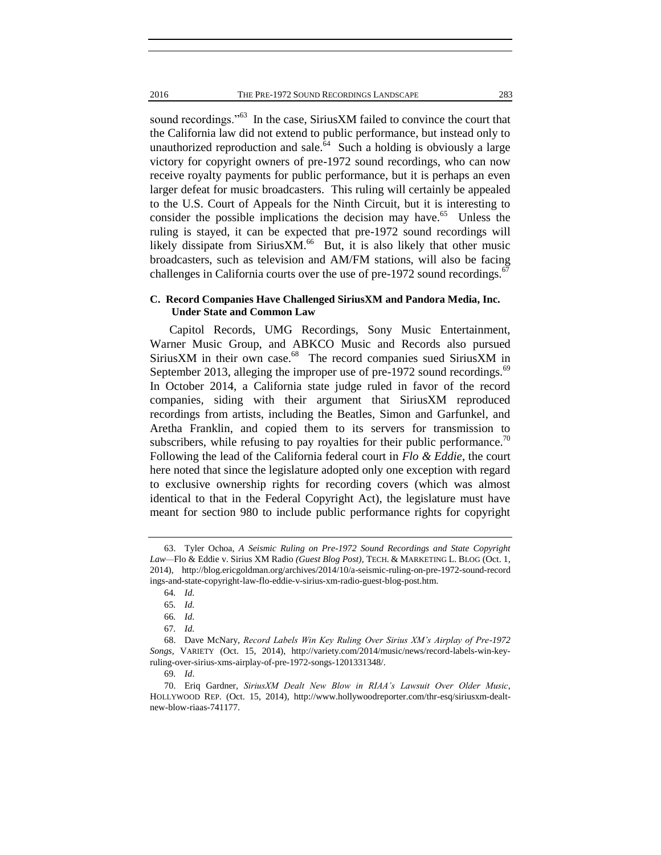2016 THE PRE-1972 SOUND RECORDINGS LANDSCAPE 283

sound recordings."<sup>63</sup> In the case, SiriusXM failed to convince the court that the California law did not extend to public performance, but instead only to unauthorized reproduction and sale. $\overline{64}$  Such a holding is obviously a large victory for copyright owners of pre-1972 sound recordings, who can now receive royalty payments for public performance, but it is perhaps an even larger defeat for music broadcasters. This ruling will certainly be appealed to the U.S. Court of Appeals for the Ninth Circuit, but it is interesting to consider the possible implications the decision may have.<sup>65</sup> Unless the ruling is stayed, it can be expected that pre-1972 sound recordings will likely dissipate from Sirius $XM<sup>66</sup>$  But, it is also likely that other music broadcasters, such as television and AM/FM stations, will also be facing challenges in California courts over the use of pre-1972 sound recordings.<sup>6</sup>

#### **C. Record Companies Have Challenged SiriusXM and Pandora Media, Inc. Under State and Common Law**

Capitol Records, UMG Recordings, Sony Music Entertainment, Warner Music Group, and ABKCO Music and Records also pursued SiriusXM in their own case.<sup>68</sup> The record companies sued SiriusXM in September 2013, alleging the improper use of pre-1972 sound recordings.<sup>69</sup> In October 2014, a California state judge ruled in favor of the record companies, siding with their argument that SiriusXM reproduced recordings from artists, including the Beatles, Simon and Garfunkel, and Aretha Franklin, and copied them to its servers for transmission to subscribers, while refusing to pay royalties for their public performance.<sup>70</sup> Following the lead of the California federal court in *Flo & Eddie*, the court here noted that since the legislature adopted only one exception with regard to exclusive ownership rights for recording covers (which was almost identical to that in the Federal Copyright Act), the legislature must have meant for section 980 to include public performance rights for copyright

<sup>63.</sup> Tyler Ochoa, *A Seismic Ruling on Pre-1972 Sound Recordings and State Copyright Law—*Flo & Eddie v. Sirius XM Radio *(Guest Blog Post)*, TECH. & MARKETING L. BLOG (Oct. 1, 2014), http://blog.ericgoldman.org/archives/2014/10/a-seismic-ruling-on-pre-1972-sound-record ings-and-state-copyright-law-flo-eddie-v-sirius-xm-radio-guest-blog-post.htm.

<sup>64</sup>*. Id.*

<sup>65</sup>*. Id.*

<sup>66</sup>*. Id.*

<sup>67</sup>*. Id.*

<sup>68.</sup> Dave McNary, *Record Labels Win Key Ruling Over Sirius XM's Airplay of Pre-1972 Songs*, VARIETY (Oct. 15, 2014), http://variety.com/2014/music/news/record-labels-win-keyruling-over-sirius-xms-airplay-of-pre-1972-songs-1201331348/.

<sup>69</sup>*. Id*.

<sup>70.</sup> Eriq Gardner, *SiriusXM Dealt New Blow in RIAA's Lawsuit Over Older Music*, HOLLYWOOD REP. (Oct. 15, 2014), http://www.hollywoodreporter.com/thr-esq/siriusxm-dealtnew-blow-riaas-741177.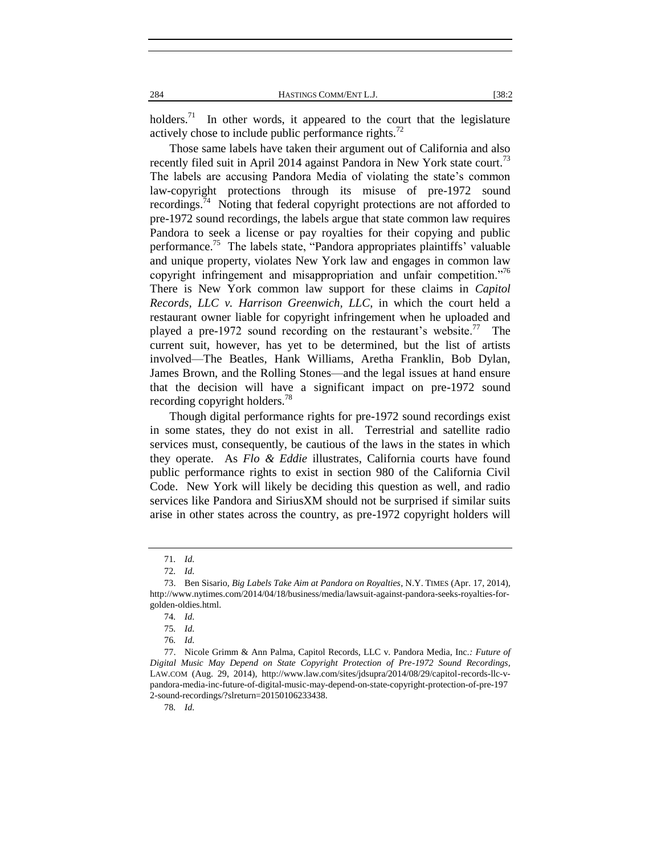holders.<sup>71</sup> In other words, it appeared to the court that the legislature actively chose to include public performance rights.<sup>72</sup>

Those same labels have taken their argument out of California and also recently filed suit in April 2014 against Pandora in New York state court.<sup>73</sup> The labels are accusing Pandora Media of violating the state's common law-copyright protections through its misuse of pre-1972 sound recordings. $74$  Noting that federal copyright protections are not afforded to pre-1972 sound recordings, the labels argue that state common law requires Pandora to seek a license or pay royalties for their copying and public performance.<sup>75</sup> The labels state, "Pandora appropriates plaintiffs' valuable and unique property, violates New York law and engages in common law copyright infringement and misappropriation and unfair competition."<sup>76</sup> There is New York common law support for these claims in *Capitol Records, LLC v. Harrison Greenwich, LLC*, in which the court held a restaurant owner liable for copyright infringement when he uploaded and played a pre-1972 sound recording on the restaurant's website.<sup>77</sup> The current suit, however, has yet to be determined, but the list of artists involved—The Beatles, Hank Williams, Aretha Franklin, Bob Dylan, James Brown, and the Rolling Stones—and the legal issues at hand ensure that the decision will have a significant impact on pre-1972 sound recording copyright holders.<sup>78</sup>

Though digital performance rights for pre-1972 sound recordings exist in some states, they do not exist in all. Terrestrial and satellite radio services must, consequently, be cautious of the laws in the states in which they operate. As *Flo & Eddie* illustrates, California courts have found public performance rights to exist in section 980 of the California Civil Code. New York will likely be deciding this question as well, and radio services like Pandora and SiriusXM should not be surprised if similar suits arise in other states across the country, as pre-1972 copyright holders will

78*. Id.*

<sup>71</sup>*. Id.*

<sup>72</sup>*. Id.*

<sup>73.</sup> Ben Sisario, *Big Labels Take Aim at Pandora on Royalties*, N.Y. TIMES (Apr. 17, 2014), http://www.nytimes.com/2014/04/18/business/media/lawsuit-against-pandora-seeks-royalties-forgolden-oldies.html.

<sup>74</sup>*. Id.*

<sup>75</sup>*. Id.*

<sup>76</sup>*. Id.*

<sup>77.</sup> Nicole Grimm & Ann Palma, Capitol Records, LLC v. Pandora Media, Inc.*: Future of Digital Music May Depend on State Copyright Protection of Pre-1972 Sound Recordings*, LAW.COM (Aug. 29, 2014), http://www.law.com/sites/jdsupra/2014/08/29/capitol-records-llc-vpandora-media-inc-future-of-digital-music-may-depend-on-state-copyright-protection-of-pre-197 2-sound-recordings/?slreturn=20150106233438.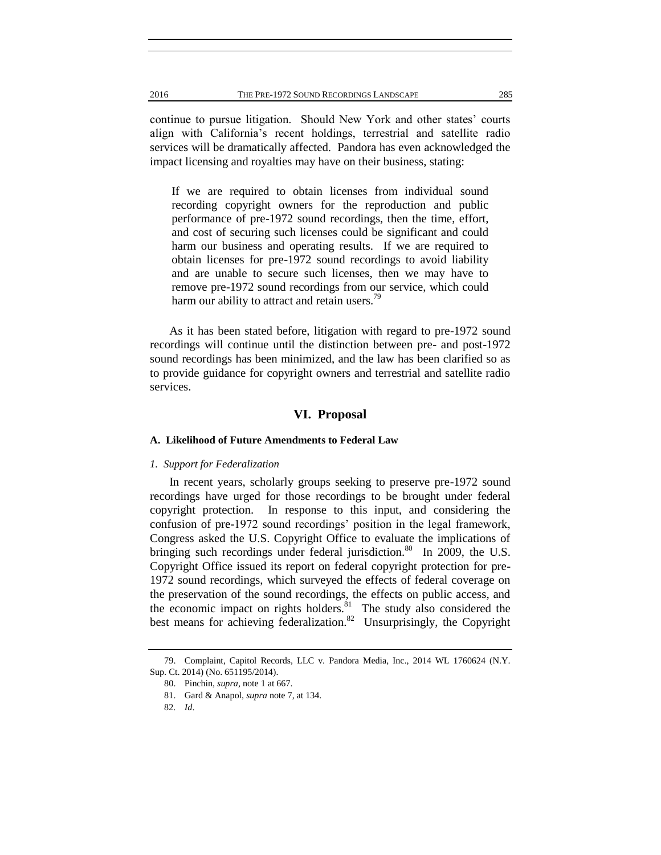continue to pursue litigation. Should New York and other states' courts align with California's recent holdings, terrestrial and satellite radio services will be dramatically affected. Pandora has even acknowledged the impact licensing and royalties may have on their business, stating:

If we are required to obtain licenses from individual sound recording copyright owners for the reproduction and public performance of pre-1972 sound recordings, then the time, effort, and cost of securing such licenses could be significant and could harm our business and operating results. If we are required to obtain licenses for pre-1972 sound recordings to avoid liability and are unable to secure such licenses, then we may have to remove pre-1972 sound recordings from our service, which could harm our ability to attract and retain users.<sup>79</sup>

As it has been stated before, litigation with regard to pre-1972 sound recordings will continue until the distinction between pre- and post-1972 sound recordings has been minimized, and the law has been clarified so as to provide guidance for copyright owners and terrestrial and satellite radio services.

#### **VI. Proposal**

#### **A. Likelihood of Future Amendments to Federal Law**

#### *1. Support for Federalization*

In recent years, scholarly groups seeking to preserve pre-1972 sound recordings have urged for those recordings to be brought under federal copyright protection. In response to this input, and considering the confusion of pre-1972 sound recordings' position in the legal framework, Congress asked the U.S. Copyright Office to evaluate the implications of bringing such recordings under federal jurisdiction.<sup>80</sup> In 2009, the U.S. Copyright Office issued its report on federal copyright protection for pre-1972 sound recordings, which surveyed the effects of federal coverage on the preservation of the sound recordings, the effects on public access, and the economic impact on rights holders. $81$  The study also considered the best means for achieving federalization.<sup>82</sup> Unsurprisingly, the Copyright

<sup>79.</sup> Complaint, Capitol Records, LLC v. Pandora Media, Inc., 2014 WL 1760624 (N.Y. Sup. Ct. 2014) (No. 651195/2014).

<sup>80.</sup> Pinchin, *supra*, note 1 at 667.

<sup>81.</sup> Gard & Anapol, *supra* note 7, at 134.

<sup>82</sup>*. Id*.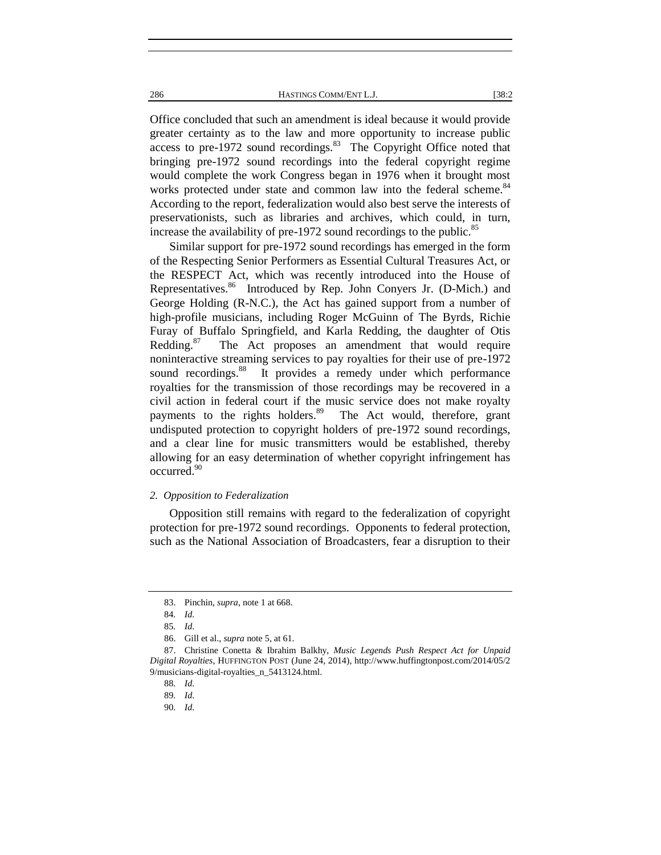Office concluded that such an amendment is ideal because it would provide greater certainty as to the law and more opportunity to increase public access to pre-1972 sound recordings.<sup>83</sup> The Copyright Office noted that bringing pre-1972 sound recordings into the federal copyright regime would complete the work Congress began in 1976 when it brought most works protected under state and common law into the federal scheme.<sup>84</sup> According to the report, federalization would also best serve the interests of preservationists, such as libraries and archives, which could, in turn, increase the availability of pre-1972 sound recordings to the public.<sup>85</sup>

Similar support for pre-1972 sound recordings has emerged in the form of the Respecting Senior Performers as Essential Cultural Treasures Act, or the RESPECT Act, which was recently introduced into the House of Representatives.<sup>86</sup> Introduced by Rep. John Conyers Jr. (D-Mich.) and George Holding (R-N.C.), the Act has gained support from a number of high-profile musicians, including Roger McGuinn of The Byrds, Richie Furay of Buffalo Springfield, and Karla Redding, the daughter of Otis Redding.<sup>87</sup> The Act proposes an amendment that would require noninteractive streaming services to pay royalties for their use of pre-1972 sound recordings.<sup>88</sup> It provides a remedy under which performance royalties for the transmission of those recordings may be recovered in a civil action in federal court if the music service does not make royalty payments to the rights holders.<sup>89</sup> The Act would, therefore, grant undisputed protection to copyright holders of pre-1972 sound recordings, and a clear line for music transmitters would be established, thereby allowing for an easy determination of whether copyright infringement has occurred.<sup>90</sup>

#### *2. Opposition to Federalization*

Opposition still remains with regard to the federalization of copyright protection for pre-1972 sound recordings. Opponents to federal protection, such as the National Association of Broadcasters, fear a disruption to their

<sup>83.</sup> Pinchin, *supra*, note 1 at 668.

<sup>84</sup>*. Id.*

<sup>85</sup>*. Id.*

<sup>86.</sup> Gill et al., *supra* note 5, at 61.

<sup>87.</sup> Christine Conetta & Ibrahim Balkhy, *Music Legends Push Respect Act for Unpaid Digital Royalties*, HUFFINGTON POST (June 24, 2014), http://www.huffingtonpost.com/2014/05/2 9/musicians-digital-royalties\_n\_5413124.html.

<sup>88</sup>*. Id.*

<sup>89</sup>*. Id.*

<sup>90</sup>*. Id.*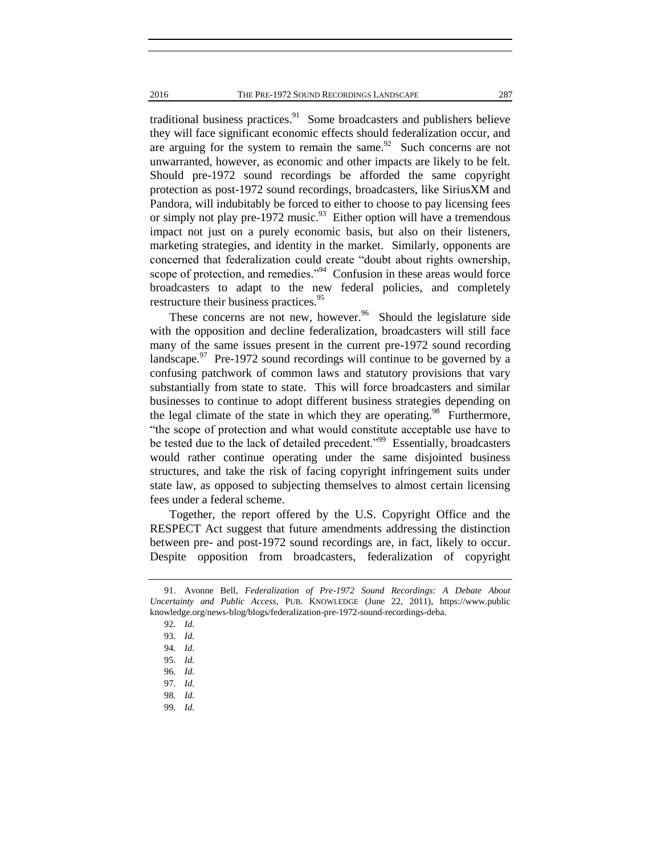traditional business practices. $91$  Some broadcasters and publishers believe they will face significant economic effects should federalization occur, and are arguing for the system to remain the same. $92$  Such concerns are not unwarranted, however, as economic and other impacts are likely to be felt. Should pre-1972 sound recordings be afforded the same copyright protection as post-1972 sound recordings, broadcasters, like SiriusXM and Pandora, will indubitably be forced to either to choose to pay licensing fees or simply not play pre-1972 music.<sup>93</sup> Either option will have a tremendous impact not just on a purely economic basis, but also on their listeners, marketing strategies, and identity in the market. Similarly, opponents are concerned that federalization could create "doubt about rights ownership, scope of protection, and remedies."<sup>94</sup> Confusion in these areas would force broadcasters to adapt to the new federal policies, and completely restructure their business practices.<sup>95</sup>

These concerns are not new, however. $96$  Should the legislature side with the opposition and decline federalization, broadcasters will still face many of the same issues present in the current pre-1972 sound recording landscape. $^{97}$  Pre-1972 sound recordings will continue to be governed by a confusing patchwork of common laws and statutory provisions that vary substantially from state to state. This will force broadcasters and similar businesses to continue to adopt different business strategies depending on the legal climate of the state in which they are operating.<sup>98</sup> Furthermore, "the scope of protection and what would constitute acceptable use have to be tested due to the lack of detailed precedent."<sup>99</sup> Essentially, broadcasters would rather continue operating under the same disjointed business structures, and take the risk of facing copyright infringement suits under state law, as opposed to subjecting themselves to almost certain licensing fees under a federal scheme.

Together, the report offered by the U.S. Copyright Office and the RESPECT Act suggest that future amendments addressing the distinction between pre- and post-1972 sound recordings are, in fact, likely to occur. Despite opposition from broadcasters, federalization of copyright

<sup>91.</sup> Avonne Bell, *Federalization of Pre-1972 Sound Recordings: A Debate About Uncertainty and Public Access*, PUB. KNOWLEDGE (June 22, 2011), https://www.public knowledge.org/news-blog/blogs/federalization-pre-1972-sound-recordings-deba.

<sup>92</sup>*. Id.*

<sup>93</sup>*. Id.*

<sup>94</sup>*. Id.*

<sup>95</sup>*. Id.*

<sup>96</sup>*. Id.*

<sup>97</sup>*. Id.*

<sup>98</sup>*. Id.*

<sup>99</sup>*. Id.*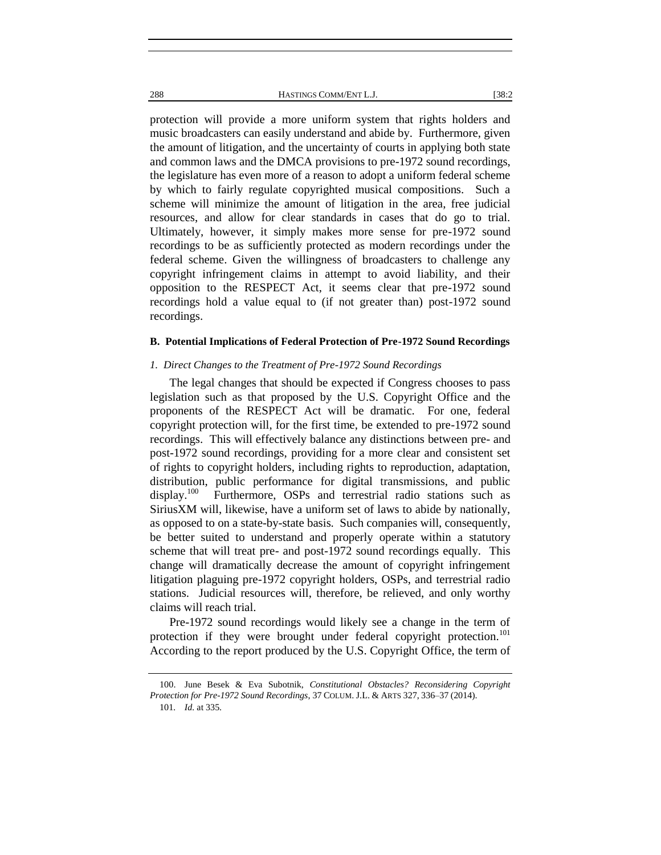protection will provide a more uniform system that rights holders and music broadcasters can easily understand and abide by. Furthermore, given the amount of litigation, and the uncertainty of courts in applying both state and common laws and the DMCA provisions to pre-1972 sound recordings, the legislature has even more of a reason to adopt a uniform federal scheme by which to fairly regulate copyrighted musical compositions. Such a scheme will minimize the amount of litigation in the area, free judicial resources, and allow for clear standards in cases that do go to trial. Ultimately, however, it simply makes more sense for pre-1972 sound recordings to be as sufficiently protected as modern recordings under the federal scheme. Given the willingness of broadcasters to challenge any copyright infringement claims in attempt to avoid liability, and their opposition to the RESPECT Act, it seems clear that pre-1972 sound recordings hold a value equal to (if not greater than) post-1972 sound recordings.

#### **B. Potential Implications of Federal Protection of Pre-1972 Sound Recordings**

#### *1. Direct Changes to the Treatment of Pre-1972 Sound Recordings*

The legal changes that should be expected if Congress chooses to pass legislation such as that proposed by the U.S. Copyright Office and the proponents of the RESPECT Act will be dramatic. For one, federal copyright protection will, for the first time, be extended to pre-1972 sound recordings. This will effectively balance any distinctions between pre- and post-1972 sound recordings, providing for a more clear and consistent set of rights to copyright holders, including rights to reproduction, adaptation, distribution, public performance for digital transmissions, and public display.<sup>100</sup> Furthermore, OSPs and terrestrial radio stations such as SiriusXM will, likewise, have a uniform set of laws to abide by nationally, as opposed to on a state-by-state basis. Such companies will, consequently, be better suited to understand and properly operate within a statutory scheme that will treat pre- and post-1972 sound recordings equally. This change will dramatically decrease the amount of copyright infringement litigation plaguing pre-1972 copyright holders, OSPs, and terrestrial radio stations. Judicial resources will, therefore, be relieved, and only worthy claims will reach trial.

Pre-1972 sound recordings would likely see a change in the term of protection if they were brought under federal copyright protection.<sup>101</sup> According to the report produced by the U.S. Copyright Office, the term of

<sup>100.</sup> June Besek & Eva Subotnik, *Constitutional Obstacles? Reconsidering Copyright Protection for Pre-1972 Sound Recordings*, 37 COLUM. J.L. & ARTS 327, 336–37 (2014). 101*. Id.* at 335.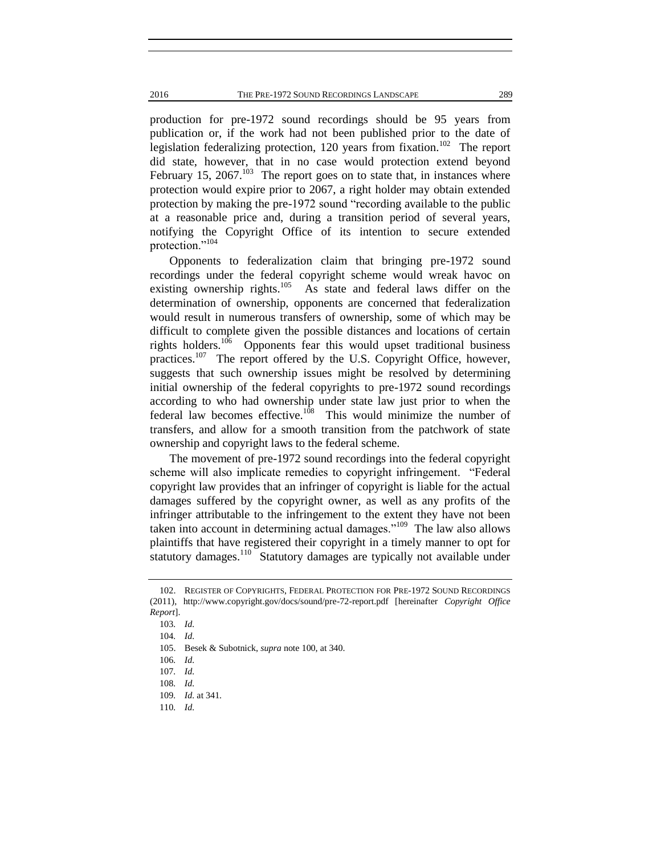production for pre-1972 sound recordings should be 95 years from publication or, if the work had not been published prior to the date of legislation federalizing protection, 120 years from fixation.<sup>102</sup> The report did state, however, that in no case would protection extend beyond February 15,  $2067$ .<sup>103</sup> The report goes on to state that, in instances where protection would expire prior to 2067, a right holder may obtain extended protection by making the pre-1972 sound "recording available to the public at a reasonable price and, during a transition period of several years, notifying the Copyright Office of its intention to secure extended protection."<sup>104</sup>

Opponents to federalization claim that bringing pre-1972 sound recordings under the federal copyright scheme would wreak havoc on existing ownership rights.<sup>105</sup> As state and federal laws differ on the determination of ownership, opponents are concerned that federalization would result in numerous transfers of ownership, some of which may be difficult to complete given the possible distances and locations of certain rights holders.<sup>106</sup> Opponents fear this would upset traditional business practices.<sup>107</sup> The report offered by the U.S. Copyright Office, however, suggests that such ownership issues might be resolved by determining initial ownership of the federal copyrights to pre-1972 sound recordings according to who had ownership under state law just prior to when the federal law becomes effective.<sup>108</sup> This would minimize the number of transfers, and allow for a smooth transition from the patchwork of state ownership and copyright laws to the federal scheme.

The movement of pre-1972 sound recordings into the federal copyright scheme will also implicate remedies to copyright infringement. "Federal copyright law provides that an infringer of copyright is liable for the actual damages suffered by the copyright owner, as well as any profits of the infringer attributable to the infringement to the extent they have not been taken into account in determining actual damages."<sup>109</sup> The law also allows plaintiffs that have registered their copyright in a timely manner to opt for statutory damages.<sup>110</sup> Statutory damages are typically not available under

<sup>102.</sup> REGISTER OF COPYRIGHTS, FEDERAL PROTECTION FOR PRE-1972 SOUND RECORDINGS (2011), http://www.copyright.gov/docs/sound/pre-72-report.pdf [hereinafter *Copyright Office Report*].

<sup>103</sup>*. Id.*

<sup>104</sup>*. Id.*

<sup>105.</sup> Besek & Subotnick, *supra* note 100, at 340.

<sup>106</sup>*. Id.*

<sup>107</sup>*. Id.*

<sup>108</sup>*. Id.*

<sup>109</sup>*. Id.* at 341.

<sup>110</sup>*. Id.*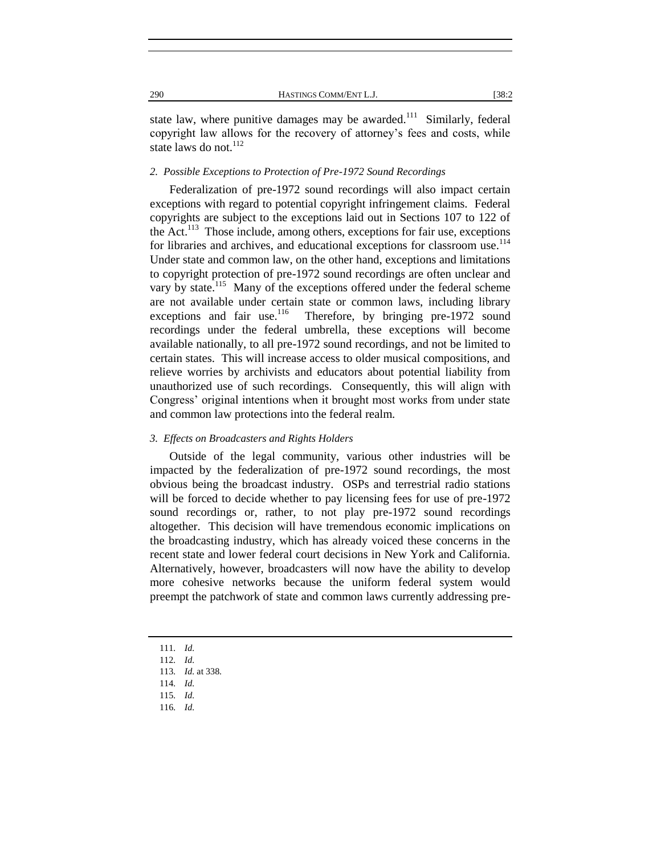state law, where punitive damages may be awarded.<sup>111</sup> Similarly, federal copyright law allows for the recovery of attorney's fees and costs, while state laws do not.<sup>112</sup>

#### *2. Possible Exceptions to Protection of Pre-1972 Sound Recordings*

Federalization of pre-1972 sound recordings will also impact certain exceptions with regard to potential copyright infringement claims. Federal copyrights are subject to the exceptions laid out in Sections 107 to 122 of the Act.<sup>113</sup> Those include, among others, exceptions for fair use, exceptions for libraries and archives, and educational exceptions for classroom use.<sup>114</sup> Under state and common law, on the other hand, exceptions and limitations to copyright protection of pre-1972 sound recordings are often unclear and vary by state.<sup>115</sup> Many of the exceptions offered under the federal scheme are not available under certain state or common laws, including library exceptions and fair use.<sup>116</sup> Therefore, by bringing pre-1972 sound recordings under the federal umbrella, these exceptions will become available nationally, to all pre-1972 sound recordings, and not be limited to certain states. This will increase access to older musical compositions, and relieve worries by archivists and educators about potential liability from unauthorized use of such recordings. Consequently, this will align with Congress' original intentions when it brought most works from under state and common law protections into the federal realm.

#### *3. Effects on Broadcasters and Rights Holders*

Outside of the legal community, various other industries will be impacted by the federalization of pre-1972 sound recordings, the most obvious being the broadcast industry. OSPs and terrestrial radio stations will be forced to decide whether to pay licensing fees for use of pre-1972 sound recordings or, rather, to not play pre-1972 sound recordings altogether. This decision will have tremendous economic implications on the broadcasting industry, which has already voiced these concerns in the recent state and lower federal court decisions in New York and California. Alternatively, however, broadcasters will now have the ability to develop more cohesive networks because the uniform federal system would preempt the patchwork of state and common laws currently addressing pre-

- 111*. Id.*
- 112*. Id.*
- 113*. Id.* at 338.
- 114*. Id.*
- 115*. Id.*
- 116*. Id.*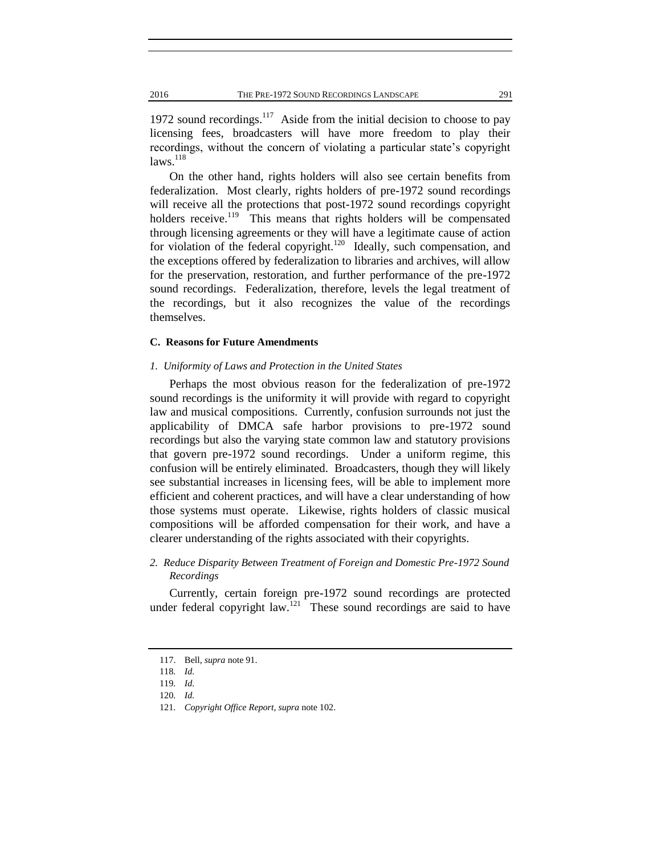1972 sound recordings. $117$  Aside from the initial decision to choose to pay licensing fees, broadcasters will have more freedom to play their recordings, without the concern of violating a particular state's copyright  $laws.<sup>118</sup>$ 

On the other hand, rights holders will also see certain benefits from federalization. Most clearly, rights holders of pre-1972 sound recordings will receive all the protections that post-1972 sound recordings copyright holders receive.<sup>119</sup> This means that rights holders will be compensated through licensing agreements or they will have a legitimate cause of action for violation of the federal copyright.<sup>120</sup> Ideally, such compensation, and the exceptions offered by federalization to libraries and archives, will allow for the preservation, restoration, and further performance of the pre-1972 sound recordings. Federalization, therefore, levels the legal treatment of the recordings, but it also recognizes the value of the recordings themselves.

#### **C. Reasons for Future Amendments**

#### *1. Uniformity of Laws and Protection in the United States*

Perhaps the most obvious reason for the federalization of pre-1972 sound recordings is the uniformity it will provide with regard to copyright law and musical compositions. Currently, confusion surrounds not just the applicability of DMCA safe harbor provisions to pre-1972 sound recordings but also the varying state common law and statutory provisions that govern pre-1972 sound recordings. Under a uniform regime, this confusion will be entirely eliminated. Broadcasters, though they will likely see substantial increases in licensing fees, will be able to implement more efficient and coherent practices, and will have a clear understanding of how those systems must operate. Likewise, rights holders of classic musical compositions will be afforded compensation for their work, and have a clearer understanding of the rights associated with their copyrights.

#### *2. Reduce Disparity Between Treatment of Foreign and Domestic Pre-1972 Sound Recordings*

Currently, certain foreign pre-1972 sound recordings are protected under federal copyright law.<sup>121</sup> These sound recordings are said to have

<sup>117.</sup> Bell, *supra* note 91.

<sup>118</sup>*. Id.*

<sup>119</sup>*. Id.*

<sup>120</sup>*. Id.*

<sup>121</sup>*. Copyright Office Report*, *supra* note 102.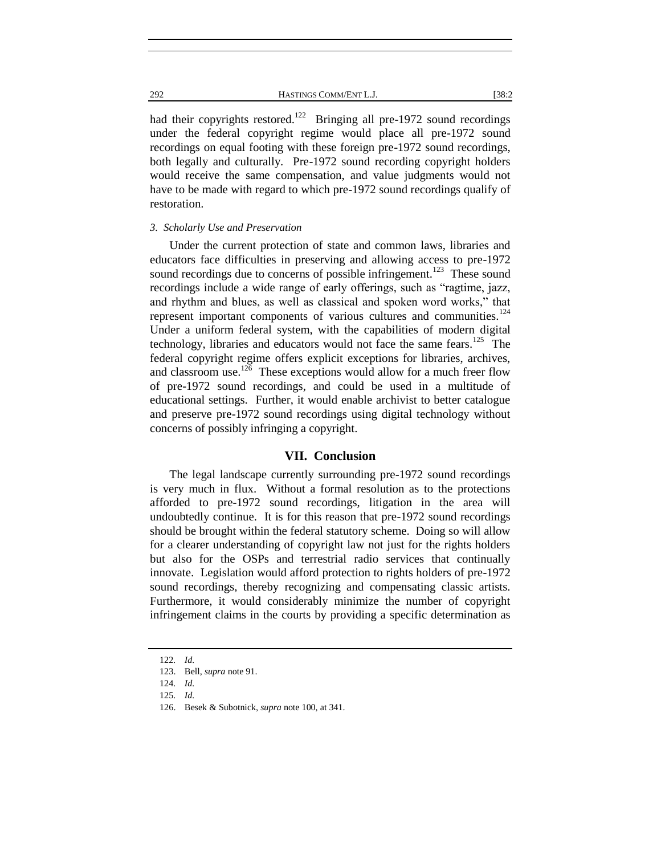had their copyrights restored.<sup>122</sup> Bringing all pre-1972 sound recordings under the federal copyright regime would place all pre-1972 sound recordings on equal footing with these foreign pre-1972 sound recordings, both legally and culturally. Pre-1972 sound recording copyright holders would receive the same compensation, and value judgments would not have to be made with regard to which pre-1972 sound recordings qualify of restoration.

#### *3. Scholarly Use and Preservation*

Under the current protection of state and common laws, libraries and educators face difficulties in preserving and allowing access to pre-1972 sound recordings due to concerns of possible infringement.<sup>123</sup> These sound recordings include a wide range of early offerings, such as "ragtime, jazz, and rhythm and blues, as well as classical and spoken word works," that represent important components of various cultures and communities. $^{124}$ Under a uniform federal system, with the capabilities of modern digital technology, libraries and educators would not face the same fears.<sup>125</sup> The federal copyright regime offers explicit exceptions for libraries, archives, and classroom use.<sup>126</sup> These exceptions would allow for a much freer flow of pre-1972 sound recordings, and could be used in a multitude of educational settings. Further, it would enable archivist to better catalogue and preserve pre-1972 sound recordings using digital technology without concerns of possibly infringing a copyright.

#### **VII. Conclusion**

The legal landscape currently surrounding pre-1972 sound recordings is very much in flux. Without a formal resolution as to the protections afforded to pre-1972 sound recordings, litigation in the area will undoubtedly continue. It is for this reason that pre-1972 sound recordings should be brought within the federal statutory scheme. Doing so will allow for a clearer understanding of copyright law not just for the rights holders but also for the OSPs and terrestrial radio services that continually innovate. Legislation would afford protection to rights holders of pre-1972 sound recordings, thereby recognizing and compensating classic artists. Furthermore, it would considerably minimize the number of copyright infringement claims in the courts by providing a specific determination as

<sup>122</sup>*. Id.*

<sup>123.</sup> Bell, *supra* note 91.

<sup>124</sup>*. Id.*

<sup>125</sup>*. Id.*

<sup>126.</sup> Besek & Subotnick, *supra* note 100, at 341.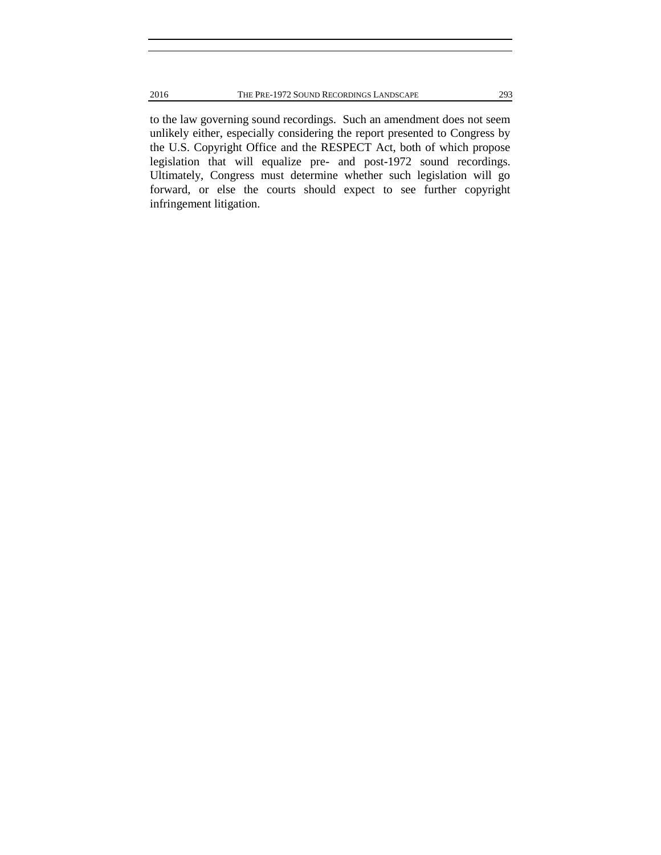to the law governing sound recordings. Such an amendment does not seem unlikely either, especially considering the report presented to Congress by the U.S. Copyright Office and the RESPECT Act, both of which propose legislation that will equalize pre- and post-1972 sound recordings. Ultimately, Congress must determine whether such legislation will go forward, or else the courts should expect to see further copyright infringement litigation.